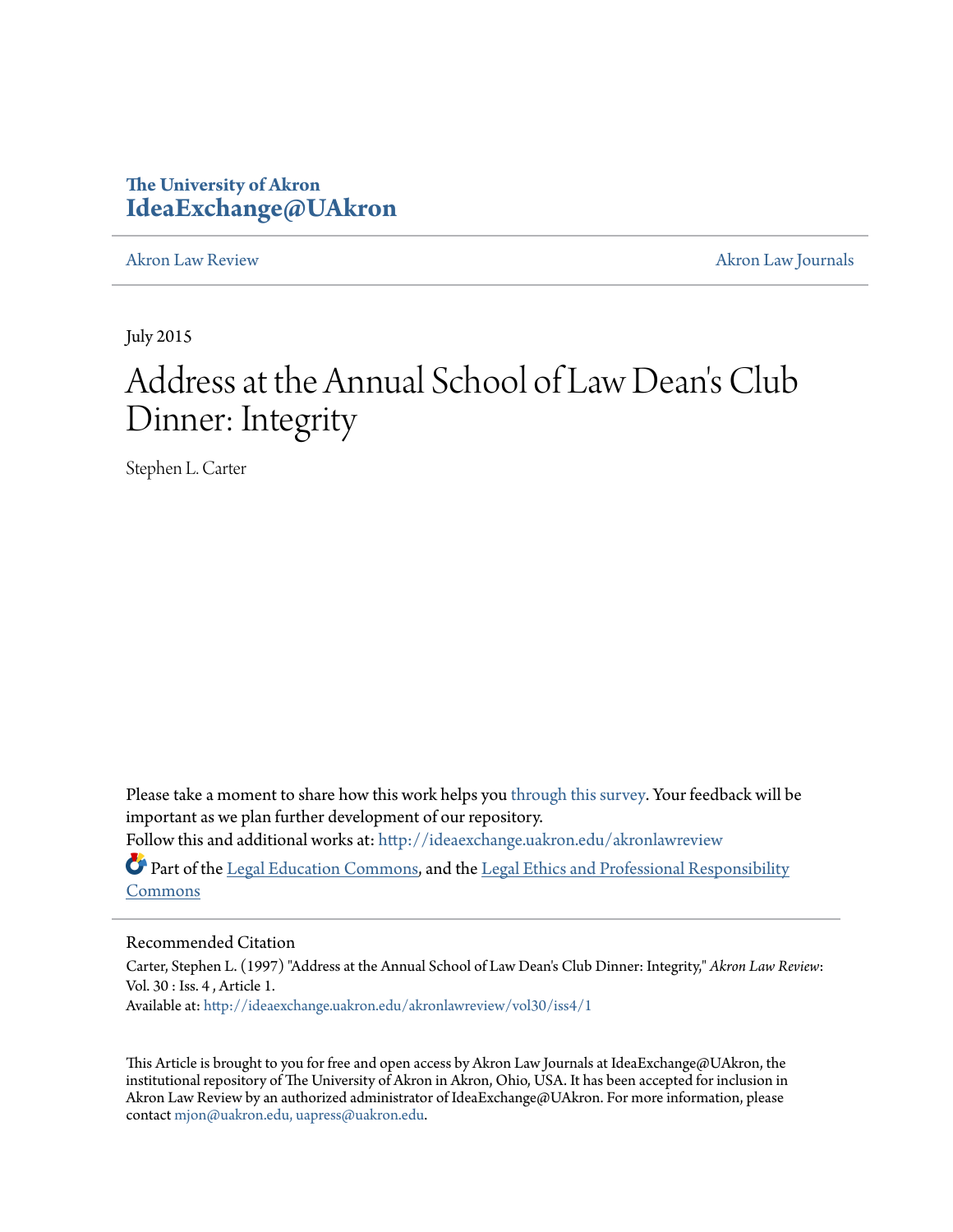# **The University of Akron [IdeaExchange@UAkron](http://ideaexchange.uakron.edu?utm_source=ideaexchange.uakron.edu%2Fakronlawreview%2Fvol30%2Fiss4%2F1&utm_medium=PDF&utm_campaign=PDFCoverPages)**

[Akron Law Review](http://ideaexchange.uakron.edu/akronlawreview?utm_source=ideaexchange.uakron.edu%2Fakronlawreview%2Fvol30%2Fiss4%2F1&utm_medium=PDF&utm_campaign=PDFCoverPages) [Akron Law Journals](http://ideaexchange.uakron.edu/akronlawjournals?utm_source=ideaexchange.uakron.edu%2Fakronlawreview%2Fvol30%2Fiss4%2F1&utm_medium=PDF&utm_campaign=PDFCoverPages)

July 2015

# Address at the Annual School of Law Dean 's Club Dinner: Integrity

Stephen L. Carter

Please take a moment to share how this work helps you [through this survey.](http://survey.az1.qualtrics.com/SE/?SID=SV_eEVH54oiCbOw05f&URL=http://ideaexchange.uakron.edu/akronlawreview/vol30/iss4/1) Your feedback will be important as we plan further development of our repository.

Follow this and additional works at: [http://ideaexchange.uakron.edu/akronlawreview](http://ideaexchange.uakron.edu/akronlawreview?utm_source=ideaexchange.uakron.edu%2Fakronlawreview%2Fvol30%2Fiss4%2F1&utm_medium=PDF&utm_campaign=PDFCoverPages)

Part of the [Legal Education Commons,](http://network.bepress.com/hgg/discipline/857?utm_source=ideaexchange.uakron.edu%2Fakronlawreview%2Fvol30%2Fiss4%2F1&utm_medium=PDF&utm_campaign=PDFCoverPages) and the [Legal Ethics and Professional Responsibility](http://network.bepress.com/hgg/discipline/895?utm_source=ideaexchange.uakron.edu%2Fakronlawreview%2Fvol30%2Fiss4%2F1&utm_medium=PDF&utm_campaign=PDFCoverPages) [Commons](http://network.bepress.com/hgg/discipline/895?utm_source=ideaexchange.uakron.edu%2Fakronlawreview%2Fvol30%2Fiss4%2F1&utm_medium=PDF&utm_campaign=PDFCoverPages)

# Recommended Citation

Carter, Stephen L. (1997) "Address at the Annual School of Law Dean's Club Dinner: Integrity," *Akron Law Review*: Vol. 30 : Iss. 4 , Article 1. Available at: [http://ideaexchange.uakron.edu/akronlawreview/vol30/iss4/1](http://ideaexchange.uakron.edu/akronlawreview/vol30/iss4/1?utm_source=ideaexchange.uakron.edu%2Fakronlawreview%2Fvol30%2Fiss4%2F1&utm_medium=PDF&utm_campaign=PDFCoverPages)

This Article is brought to you for free and open access by Akron Law Journals at IdeaExchange@UAkron, the institutional repository of The University of Akron in Akron, Ohio, USA. It has been accepted for inclusion in Akron Law Review by an authorized administrator of IdeaExchange@UAkron. For more information, please contact [mjon@uakron.edu, uapress@uakron.edu.](mailto:mjon@uakron.edu,%20uapress@uakron.edu)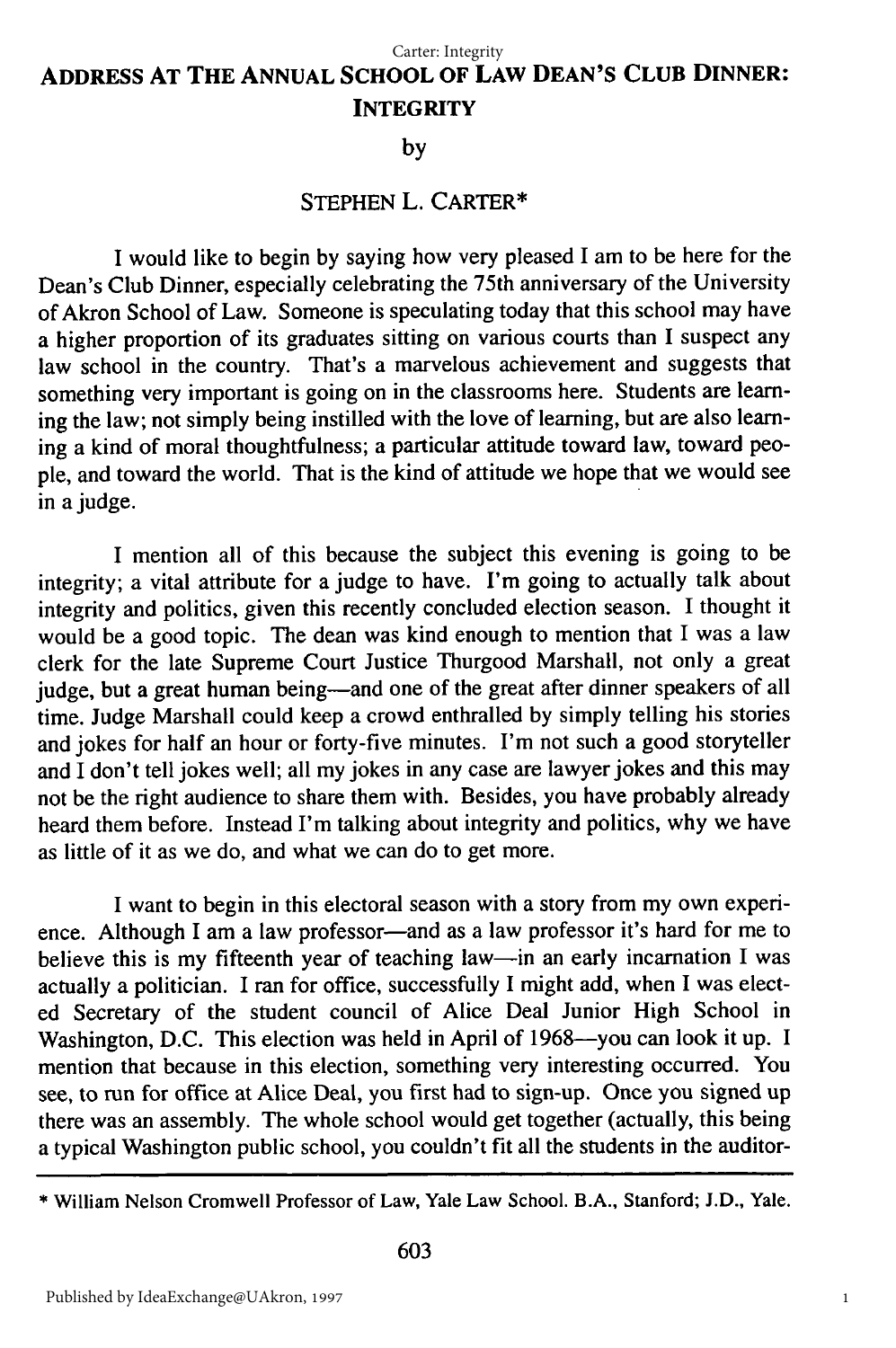# **ADDRESS AT THE ANNUAL SCHOOL OF LAW DEAN'S CLUB DINNER: INTEGRITY**

## **by**

# **STEPHEN L. CARTER\***

I would like to begin by saying how very pleased I am to be here for the Dean's Club Dinner, especially celebrating the 75th anniversary of the University of Akron School of Law. Someone is speculating today that this school may have a higher proportion of its graduates sitting on various courts than I suspect any law school in the country. That's a marvelous achievement and suggests that something very important is going on in the classrooms here. Students are learning the law; not simply being instilled with the love of learning, but are also learning a kind of moral thoughtfulness; a particular attitude toward law, toward people, and toward the world. That is the kind of attitude we hope that we would see in a judge.

I mention all of this because the subject this evening is going to be integrity; a vital attribute for a judge to have. I'm going to actually talk about integrity and politics, given this recently concluded election season. I thought it would be a good topic. The dean was kind enough to mention that I was a law clerk for the late Supreme Court Justice Thurgood Marshall, not only a great judge, but a great human being-and one of the great after dinner speakers of all time. Judge Marshall could keep a crowd enthralled by simply telling his stories and jokes for half an hour or forty-five minutes. I'm not such a good storyteller and I don't tell jokes well; all my jokes in any case are lawyer jokes and this may not be the right audience to share them with. Besides, you have probably already heard them before. Instead I'm talking about integrity and politics, why we have as little of it as we do, and what we can do to get more.

I want to begin in this electoral season with a story from my own experience. Although I am a law professor-and as a law professor it's hard for me to believe this is my fifteenth year of teaching law-in an early incarnation I was actually a politician. I ran for office, successfully I might add, when I was elected Secretary of the student council of Alice Deal Junior High School in Washington, D.C. This election was held in April of 1968-you can look it up. I mention that because in this election, something very interesting occurred. You see, to run for office at Alice Deal, you first had to sign-up. Once you signed up there was an assembly. The whole school would get together (actually, this being a typical Washington public school, you couldn't fit all the students in the auditor-

<sup>\*</sup> William Nelson Cromwell Professor of Law, Yale Law School. B.A., Stanford; J.D., Yale.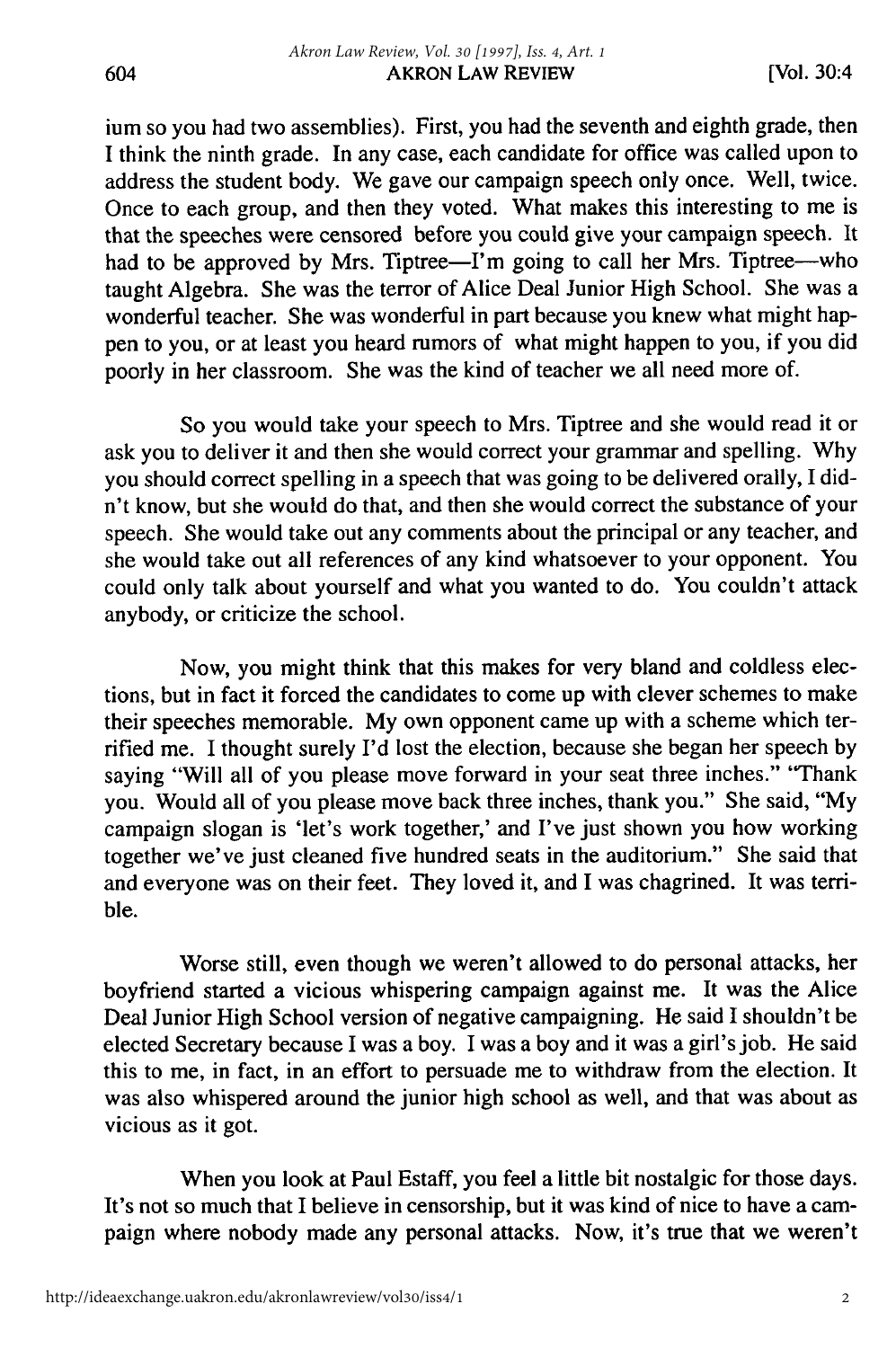ium so you had two assemblies). First, you had the seventh and eighth grade, then I think the ninth grade. In any case, each candidate for office was called upon to address the student body. We gave our campaign speech only once. Well, twice. Once to each group, and then they voted. What makes this interesting to me is that the speeches were censored before you could give your campaign speech. It had to be approved by Mrs. Tiptree-I'm going to call her Mrs. Tiptree--who taught Algebra. She was the terror of Alice Deal Junior High School. She was a wonderful teacher. She was wonderful in part because you knew what might happen to you, or at least you heard rumors of what might happen to you, if you did poorly in her classroom. She was the kind of teacher we all need more of.

So you would take your speech to Mrs. Tiptree and she would read it or ask you to deliver it and then she would correct your grammar and spelling. Why you should correct spelling in a speech that was going to be delivered orally, I didn't know, but she would do that, and then she would correct the substance of your speech. She would take out any comments about the principal or any teacher, and she would take out all references of any kind whatsoever to your opponent. You could only talk about yourself and what you wanted to do. You couldn't attack anybody, or criticize the school.

Now, you might think that this makes for very bland and coldless elections, but in fact it forced the candidates to come up with clever schemes to make their speeches memorable. My own opponent came up with a scheme which terrified me. I thought surely I'd lost the election, because she began her speech by saying "Will all of you please move forward in your seat three inches." "Thank you. Would all of you please move back three inches, thank you." She said, "My campaign slogan is 'let's work together,' and I've just shown you how working together we've just cleaned five hundred seats in the auditorium." She said that and everyone was on their feet. They loved it, and I was chagrined. It was terrible.

Worse still, even though we weren't allowed to do personal attacks, her boyfriend started a vicious whispering campaign against me. It was the Alice Deal Junior High School version of negative campaigning. He said I shouldn't be elected Secretary because I was a boy. I was a boy and it was a girl's job. He said this to me, in fact, in an effort to persuade me to withdraw from the election. It was also whispered around the junior high school as well, and that was about as vicious as it got.

When you look at Paul Estaff, you feel a little bit nostalgic for those days. It's not so much that I believe in censorship, but it was kind of nice to have a campaign where nobody made any personal attacks. Now, it's true that we weren't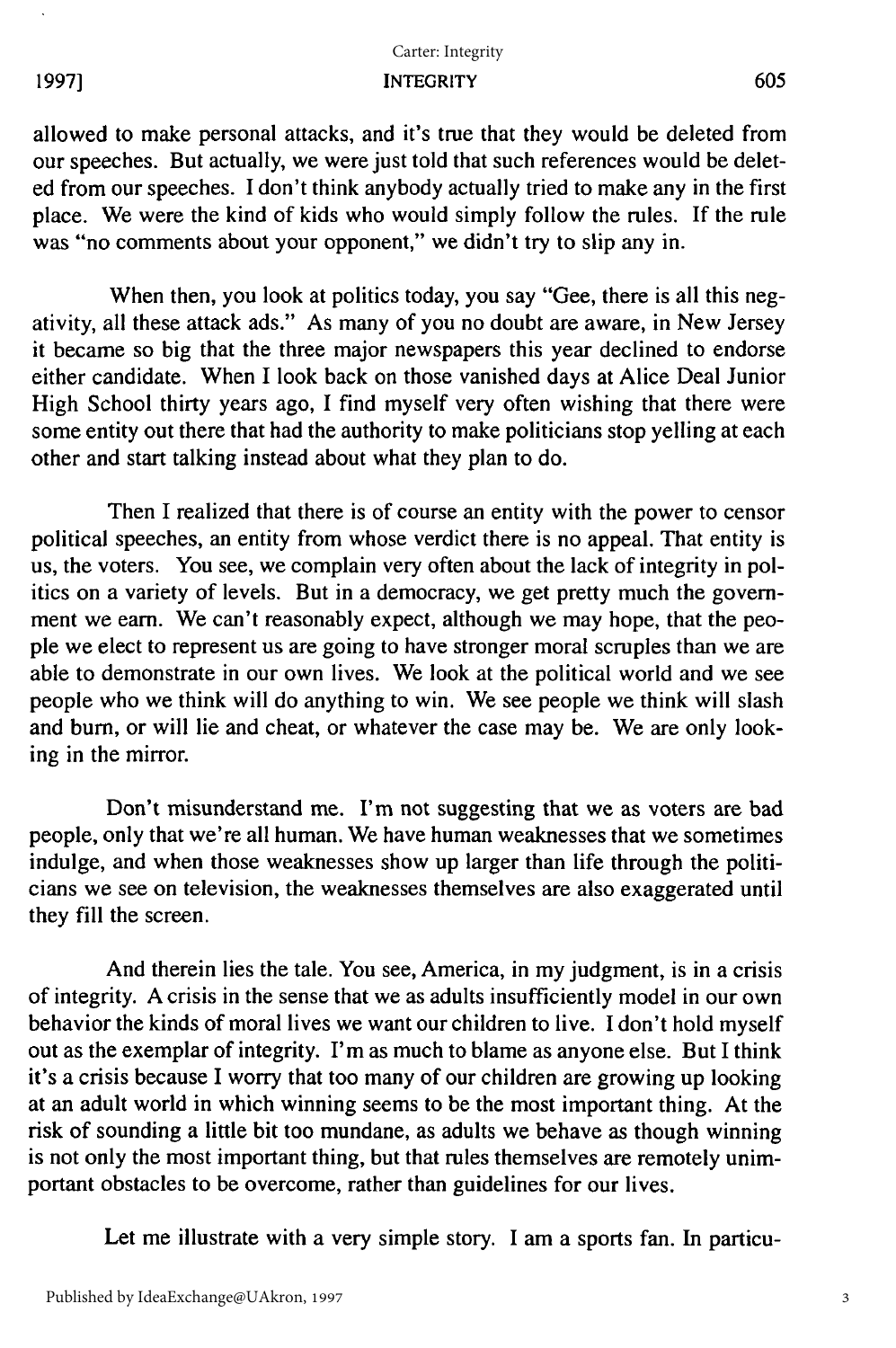## INTEGRITY Carter: Integrity

allowed to make personal attacks, and it's true that they would be deleted from our speeches. But actually, we were just told that such references would be deleted from our speeches. I don't think anybody actually tried to make any in the first place. We were the kind of kids who would simply follow the rules. If the rule was "no comments about your opponent," we didn't try to slip any in.

When then, you look at politics today, you say "Gee, there is all this negativity, all these attack ads." As many of you no doubt are aware, in New Jersey it became so big that the three major newspapers this year declined to endorse either candidate. When I look back on those vanished days at Alice Deal Junior High School thirty years ago, I find myself very often wishing that there were some entity out there that had the authority to make politicians stop yelling at each other and start talking instead about what they plan to do.

Then I realized that there is of course an entity with the power to censor political speeches, an entity from whose verdict there is no appeal. That entity is us, the voters. You see, we complain very often about the lack of integrity in politics on a variety of levels. But in a democracy, we get pretty much the government we earn. We can't reasonably expect, although we may hope, that the people we elect to represent us are going to have stronger moral scruples than we are able to demonstrate in our own lives. We look at the political world and we see people who we think will do anything to win. We see people we think will slash and burn, or will lie and cheat, or whatever the case may be. We are only looking in the mirror.

Don't misunderstand me. I'm not suggesting that we as voters are bad people, only that we're all human. We have human weaknesses that we sometimes indulge, and when those weaknesses show up larger than life through the politicians we see on television, the weaknesses themselves are also exaggerated until they fill the screen.

And therein lies the tale. You see, America, in my judgment, is in a crisis of integrity. A crisis in the sense that we as adults insufficiently model in our own behavior the kinds of moral lives we want our children to live. I don't hold myself out as the exemplar of integrity. I'm as much to blame as anyone else. But I think it's a crisis because I worry that too many of our children are growing up looking at an adult world in which winning seems to be the most important thing. At the risk of sounding a little bit too mundane, as adults we behave as though winning is not only the most important thing, but that rules themselves are remotely unimportant obstacles to be overcome, rather than guidelines for our lives.

Let me illustrate with a very simple story. I am a sports fan. In particu-

**19971**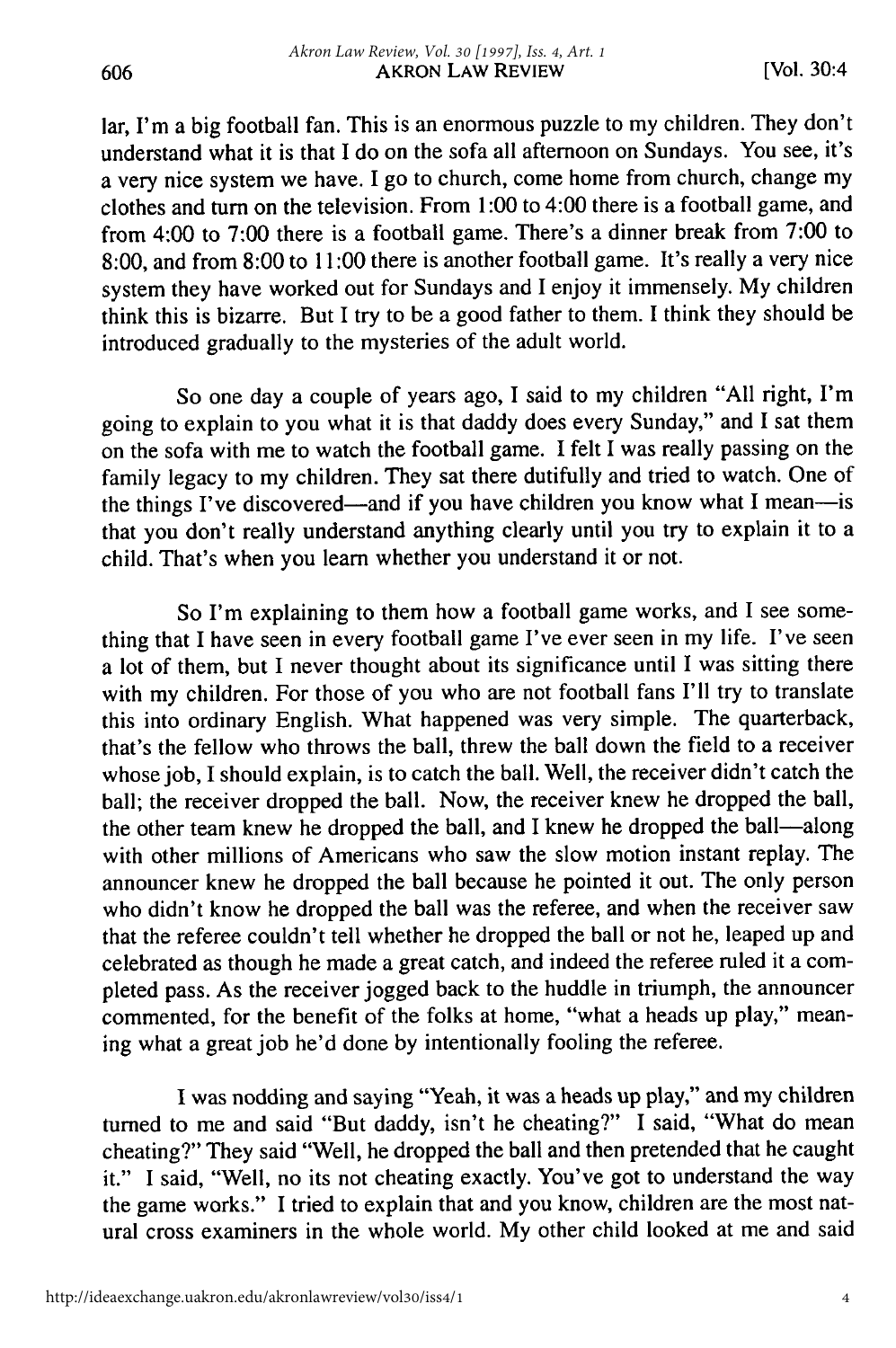lar, I'm a big football fan. This is an enormous puzzle to my children. They don't understand what it is that I do on the sofa all afternoon on Sundays. You see, it's a very nice system we have. I go to church, come home from church, change my clothes and turn on the television. From 1:00 to 4:00 there is a football game, and from 4:00 to 7:00 there is a football game. There's a dinner break from 7:00 to 8:00, and from 8:00 to 11:00 there is another football game. It's really a very nice system they have worked out for Sundays and I enjoy it immensely. My children think this is bizarre. But I try to be a good father to them. I think they should be introduced gradually to the mysteries of the adult world.

So one day a couple of years ago, I said to my children "All right, I'm going to explain to you what it is that daddy does every Sunday," and I sat them on the sofa with me to watch the football game. I felt I was really passing on the family legacy to my children. They sat there dutifully and tried to watch. One of the things I've discovered—and if you have children you know what I mean—is that you don't really understand anything clearly until you try to explain it to a child. That's when you learn whether you understand it or not.

So I'm explaining to them how a football game works, and I see something that I have seen in every football game I've ever seen in my life. I've seen a lot of them, but I never thought about its significance until I was sitting there with my children. For those of you who are not football fans I'll try to translate this into ordinary English. What happened was very simple. The quarterback, that's the fellow who throws the ball, threw the ball down the field to a receiver whose job, I should explain, is to catch the ball. Well, the receiver didn't catch the ball; the receiver dropped the ball. Now, the receiver knew he dropped the ball, the other team knew he dropped the ball, and I knew he dropped the ball-along with other millions of Americans who saw the slow motion instant replay. The announcer knew he dropped the ball because he pointed it out. The only person who didn't know he dropped the ball was the referee, and when the receiver saw that the referee couldn't tell whether he dropped the ball or not he, leaped up and celebrated as though he made a great catch, and indeed the referee ruled it a completed pass. As the receiver jogged back to the huddle in triumph, the announcer commented, for the benefit of the folks at home, "what a heads up play," meaning what a great job he'd done by intentionally fooling the referee.

I was nodding and saying "Yeah, it was a heads up play," and my children turned to me and said "But daddy, isn't he cheating?" I said, "What do mean cheating?" They said "Well, he dropped the ball and then pretended that he caught it." I said, "Well, no its not cheating exactly. You've got to understand the way the game works." I tried to explain that and you know, children are the most natural cross examiners in the whole world. My other child looked at me and said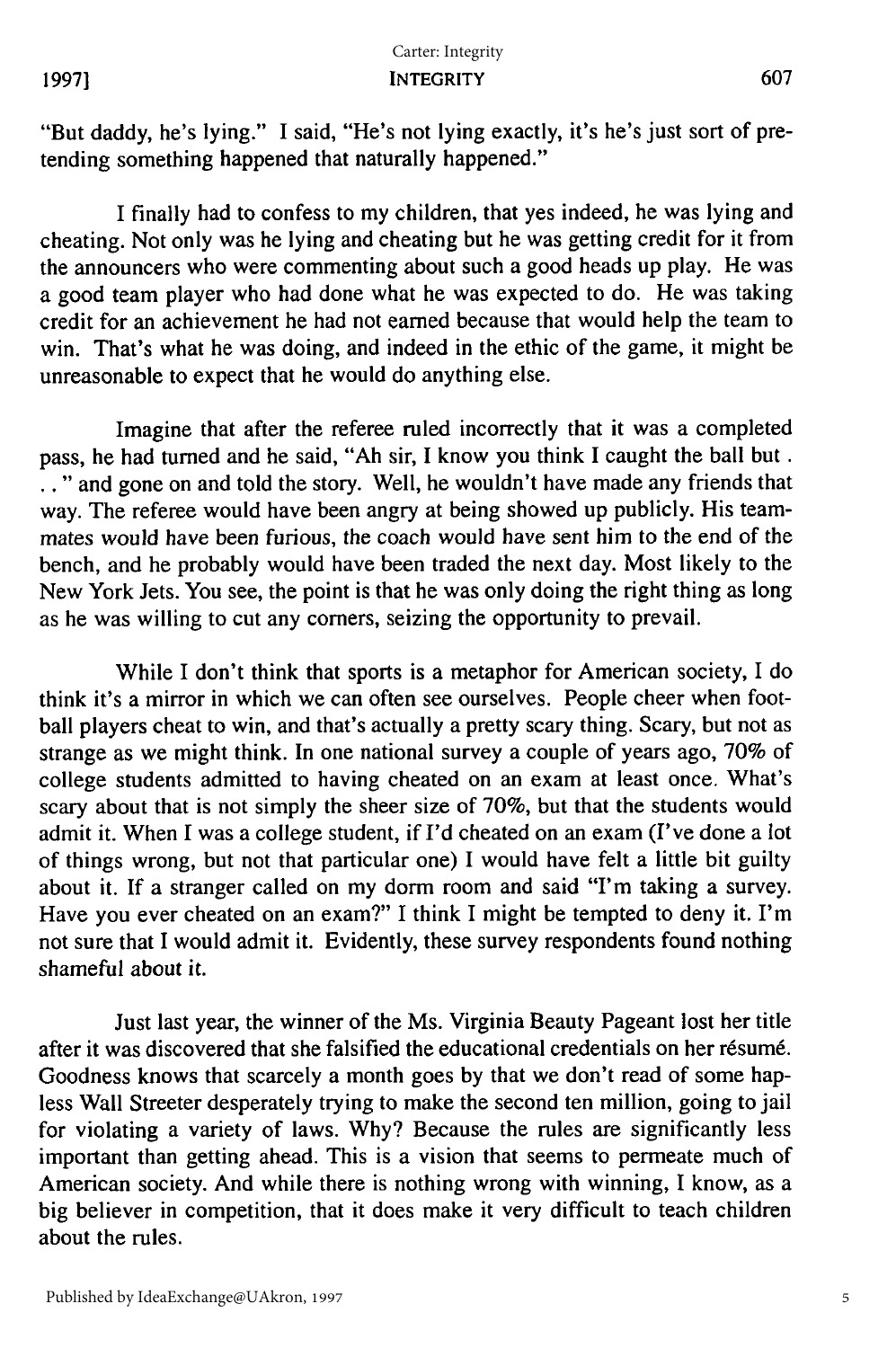**1997]**

"But daddy, he's lying." I said, "He's not lying exactly, it's he's just sort of pretending something happened that naturally happened."

I finally had to confess to my children, that yes indeed, he was lying and cheating. Not only was he lying and cheating but he was getting credit for it from the announcers who were commenting about such a good heads up play. He was a good team player who had done what he was expected to do. He was taking credit for an achievement he had not earned because that would help the team to win. That's what he was doing, and indeed in the ethic of the game, it might be unreasonable to expect that he would do anything else.

Imagine that after the referee ruled incorrectly that it was a completed pass, he had turned and he said, "Ah sir, I know you think I caught the ball but. **•. "** and gone on and told the story. Well, he wouldn't have made any friends that way. The referee would have been angry at being showed up publicly. His teammates would have been furious, the coach would have sent him to the end of the bench, and he probably would have been traded the next day. Most likely to the New York Jets. You see, the point is that he was only doing the right thing as long as he was willing to cut any comers, seizing the opportunity to prevail.

While I don't think that sports is a metaphor for American society, I do think it's a mirror in which we can often see ourselves. People cheer when football players cheat to win, and that's actually a pretty scary thing. Scary, but not as strange as we might think. In one national survey a couple of years ago, 70% of college students admitted to having cheated on an exam at least once. What's scary about that is not simply the sheer size of 70%, but that the students would admit it. When I was a college student, if I'd cheated on an exam (I've done a lot of things wrong, but not that particular one) I would have felt a little bit guilty about it. If a stranger called on my dorm room and said "I'm taking a survey. Have you ever cheated on an exam?" I think I might be tempted to deny it. I'm not sure that I would admit it. Evidently, these survey respondents found nothing shameful about it.

Just last year, the winner of the Ms. Virginia Beauty Pageant lost her title after it was discovered that she falsified the educational credentials on her résumé. Goodness knows that scarcely a month goes by that we don't read of some hapless Wall Streeter desperately trying to make the second ten million, going to jail for violating a variety of laws. Why? Because the rules are significantly less important than getting ahead. This is a vision that seems to permeate much of American society. And while there is nothing wrong with winning, I know, as a big believer in competition, that it does make it very difficult to teach children about the rules.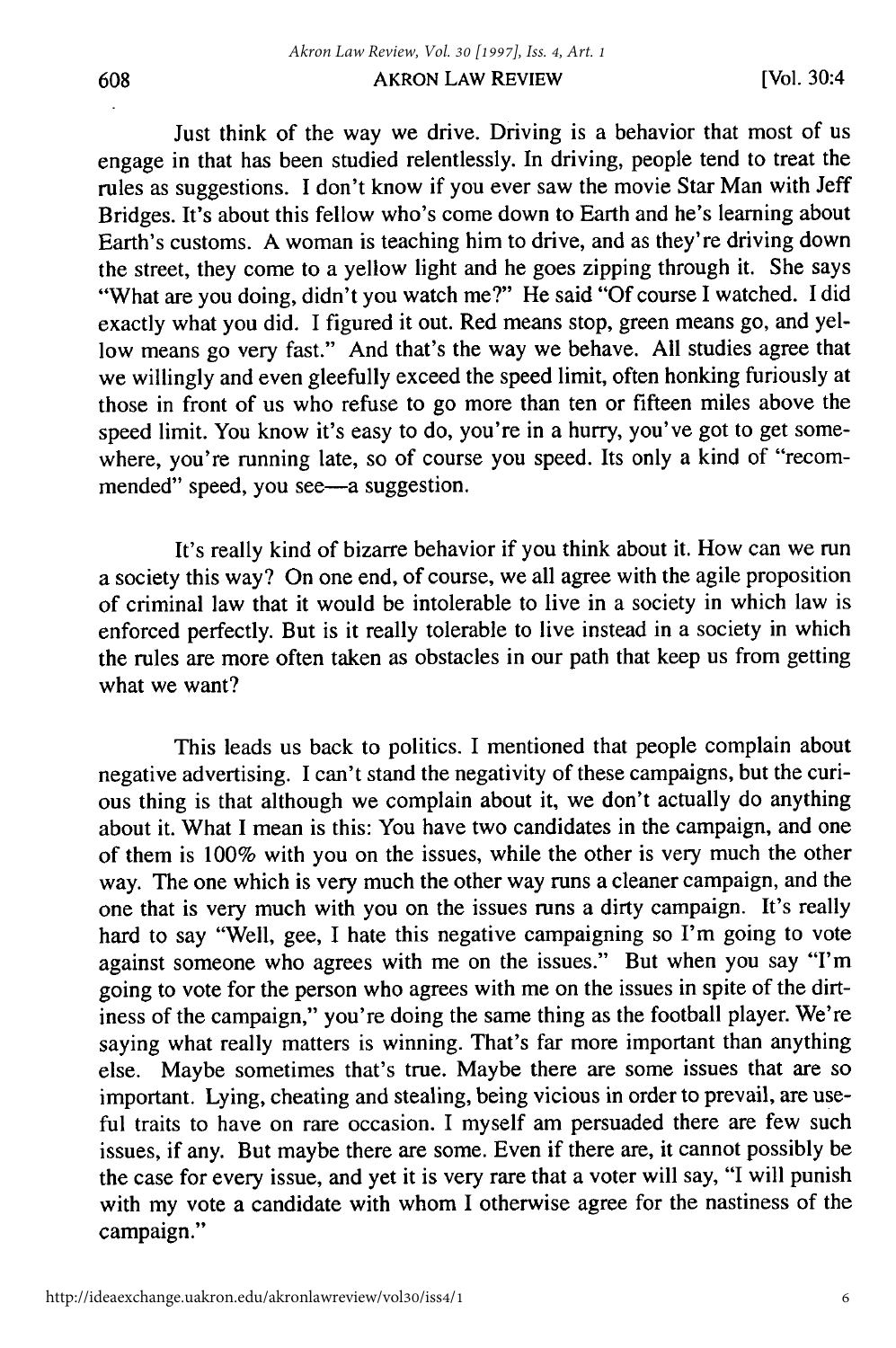Just think of the way we drive. Driving is a behavior that most of us engage in that has been studied relentlessly. In driving, people tend to treat the rules as suggestions. I don't know if you ever saw the movie Star Man with Jeff Bridges. It's about this fellow who's come down to Earth and he's learning about Earth's customs. A woman is teaching him to drive, and as they're driving down the street, they come to a yellow light and he goes zipping through it. She says "What are you doing, didn't you watch me?" He said "Of course I watched. I did exactly what you did. I figured it out. Red means stop, green means go, and yellow means go very fast." And that's the way we behave. All studies agree that we willingly and even gleefully exceed the speed limit, often honking furiously at those in front of us who refuse to go more than ten or fifteen miles above the speed limit. You know it's easy to do, you're in a hurry, you've got to get somewhere, you're running late, so of course you speed. Its only a kind of "recommended" speed, you see—a suggestion.

It's really kind of bizarre behavior if you think about it. How can we run a society this way? On one end, of course, we all agree with the agile proposition of criminal law that it would be intolerable to live in a society in which law is enforced perfectly. But is it really tolerable to live instead in a society in which the rules are more often taken as obstacles in our path that keep us from getting what we want?

This leads us back to politics. I mentioned that people complain about negative advertising. I can't stand the negativity of these campaigns, but the curious thing is that although we complain about it, we don't actually do anything about it. What I mean is this: You have two candidates in the campaign, and one of them is 100% with you on the issues, while the other is very much the other way. The one which is very much the other way runs a cleaner campaign, and the one that is very much with you on the issues runs a dirty campaign. It's really hard to say "Well, gee, I hate this negative campaigning so I'm going to vote against someone who agrees with me on the issues." But when you say "I'm going to vote for the person who agrees with me on the issues in spite of the dirtiness of the campaign," you're doing the same thing as the football player. We're saying what really matters is winning. That's far more important than anything else. Maybe sometimes that's true. Maybe there are some issues that are so important. Lying, cheating and stealing, being vicious in order to prevail, are useful traits to have on rare occasion. I myself am persuaded there are few such issues, if any. But maybe there are some. Even if there are, it cannot possibly be the case for every issue, and yet it is very rare that a voter will say, "I will punish with my vote a candidate with whom I otherwise agree for the nastiness of the campaign."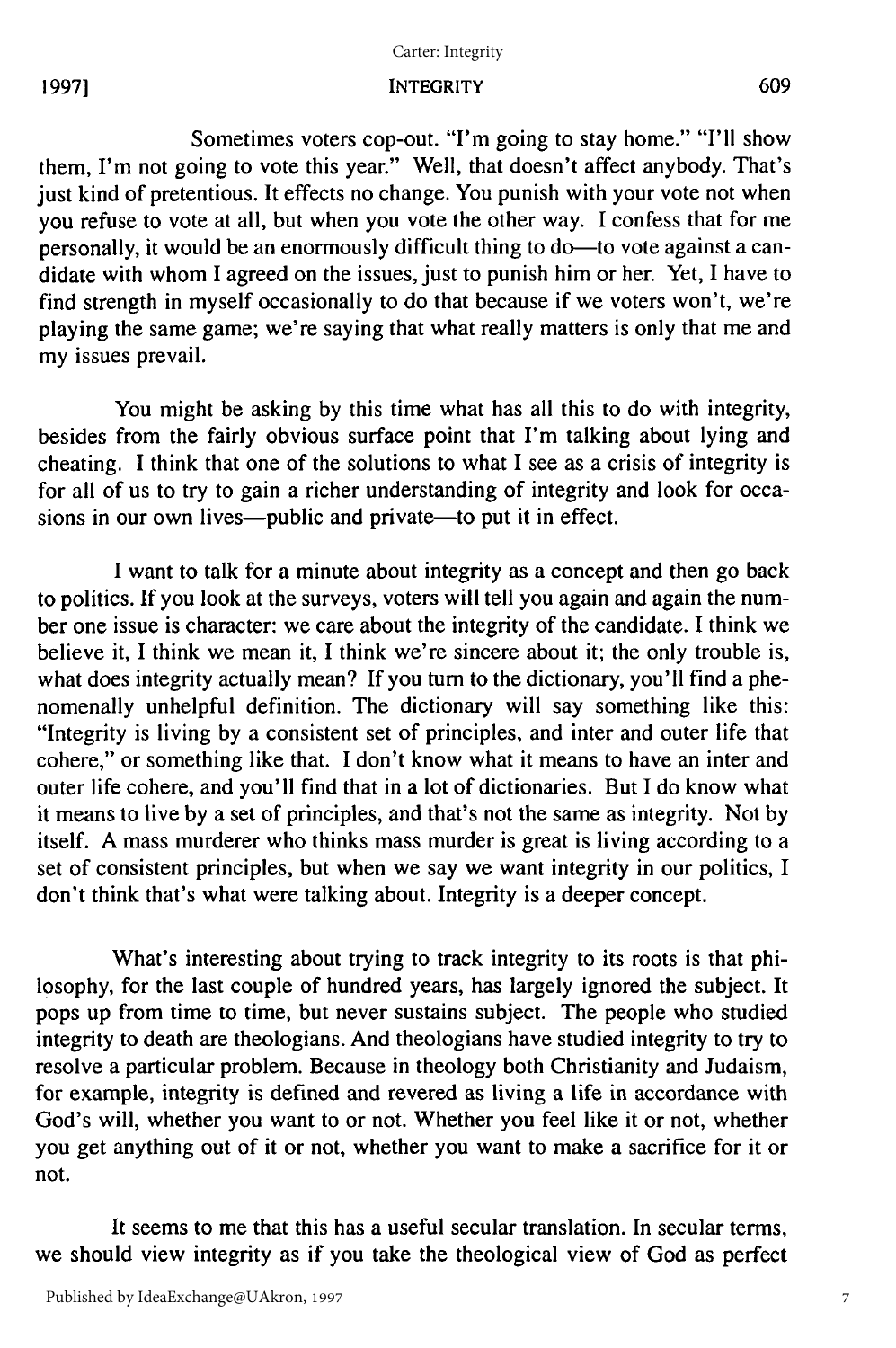#### Carter: Integrity

#### INTEGRITY

Sometimes voters cop-out. "I'm going to stay home." **"I'll** show them, I'm not going to vote this year." Well, that doesn't affect anybody. That's just kind of pretentious. It effects no change. You punish with your vote not when you refuse to vote at all, but when you vote the other way. I confess that for me personally, it would be an enormously difficult thing to do—to vote against a candidate with whom I agreed on the issues, just to punish him or her. Yet, I have to find strength in myself occasionally to do that because if we voters won't, we're playing the same game; we're saying that what really matters is only that me and my issues prevail.

You might be asking by this time what has all this to do with integrity, besides from the fairly obvious surface point that I'm talking about lying and cheating. I think that one of the solutions to what I see as a crisis of integrity is for all of us to try to gain a richer understanding of integrity and look for occasions in our own lives—public and private—to put it in effect.

I want to talk for a minute about integrity as a concept and then go back to politics. If you look at the surveys, voters will tell you again and again the number one issue is character: we care about the integrity of the candidate. I think we believe it, I think we mean it, I think we're sincere about it; the only trouble is, what does integrity actually mean? If you turn to the dictionary, you'll find a phenomenally unhelpful definition. The dictionary will say something like this: "Integrity is living by a consistent set of principles, and inter and outer life that cohere," or something like that. I don't know what it means to have an inter and outer life cohere, and you'll find that in a lot of dictionaries. But I do know what it means to live by a set of principles, and that's not the same as integrity. Not by itself. A mass murderer who thinks mass murder is great is living according to a set of consistent principles, but when we say we want integrity in our politics, I don't think that's what were talking about. Integrity is a deeper concept.

What's interesting about trying to track integrity to its roots is that philosophy, for the last couple of hundred years, has largely ignored the subject. It pops up from time to time, but never sustains subject. The people who studied integrity to death are theologians. And theologians have studied integrity to try to resolve a particular problem. Because in theology both Christianity and Judaism, for example, integrity is defined and revered as living a life in accordance with God's will, whether you want to or not. Whether you feel like it or not, whether you get anything out of it or not, whether you want to make a sacrifice for it or not.

It seems to me that this has a useful secular translation. In secular terms, we should view integrity as if you take the theological view of God as perfect

**19971**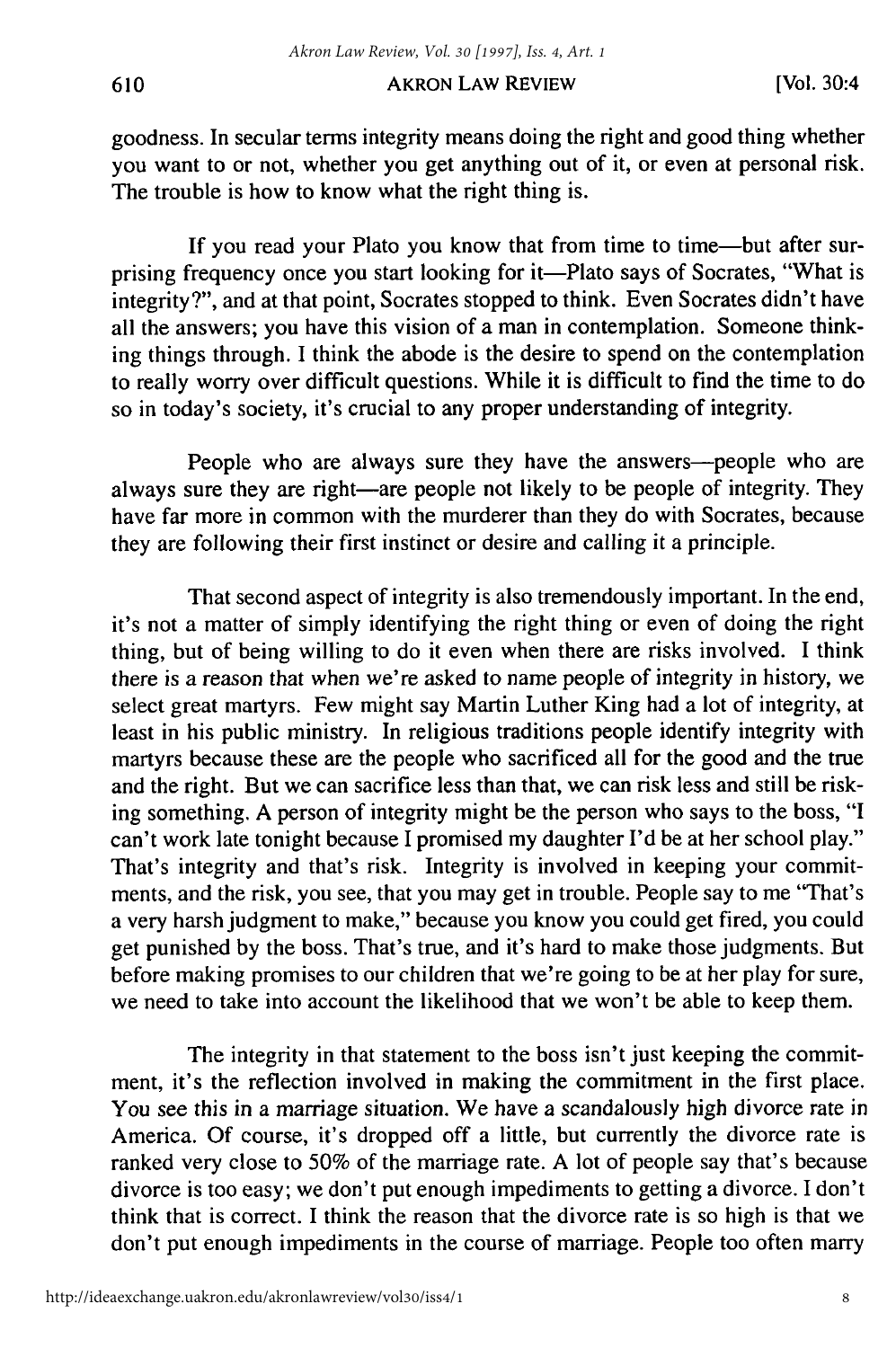#### AKRON LAW REVIEW

goodness. In secular terms integrity means doing the right and good thing whether you want to or not, whether you get anything out of it, or even at personal risk. The trouble is how to know what the right thing is.

If you read your Plato you know that from time to time-but after surprising frequency once you start looking for it—Plato says of Socrates, "What is integrity?", and at that point, Socrates stopped to think. Even Socrates didn't have all the answers; you have this vision of a man in contemplation. Someone thinking things through. I think the abode is the desire to spend on the contemplation to really worry over difficult questions. While it is difficult to find the time to do so in today's society, it's crucial to any proper understanding of integrity.

People who are always sure they have the answers-people who are always sure they are right-are people not likely to be people of integrity. They have far more in common with the murderer than they do with Socrates, because they are following their first instinct or desire and calling it a principle.

That second aspect of integrity is also tremendously important. In the end, it's not a matter of simply identifying the right thing or even of doing the right thing, but of being willing to do it even when there are risks involved. I think there is a reason that when we're asked to name people of integrity in history, we select great martyrs. Few might say Martin Luther King had a lot of integrity, at least in his public ministry. In religious traditions people identify integrity with martyrs because these are the people who sacrificed all for the good and the true and the right. But we can sacrifice less than that, we can risk less and still be risking something. A person of integrity might be the person who says to the boss, "I can't work late tonight because I promised my daughter I'd be at her school play." That's integrity and that's risk. Integrity is involved in keeping your commitments, and the risk, you see, that you may get in trouble. People say to me "That's a very harsh judgment to make," because you know you could get fired, you could get punished by the boss. That's true, and it's hard to make those judgments. But before making promises to our children that we're going to be at her play for sure, we need to take into account the likelihood that we won't be able to keep them.

The integrity in that statement to the boss isn't just keeping the commitment, it's the reflection involved in making the commitment in the first place. You see this in a marriage situation. We have a scandalously high divorce rate in America. Of course, it's dropped off a little, but currently the divorce rate is ranked very close to 50% of the marriage rate. A lot of people say that's because divorce is too easy; we don't put enough impediments to getting a divorce. I don't think that is correct. I think the reason that the divorce rate is so high is that we don't put enough impediments in the course of marriage. People too often marry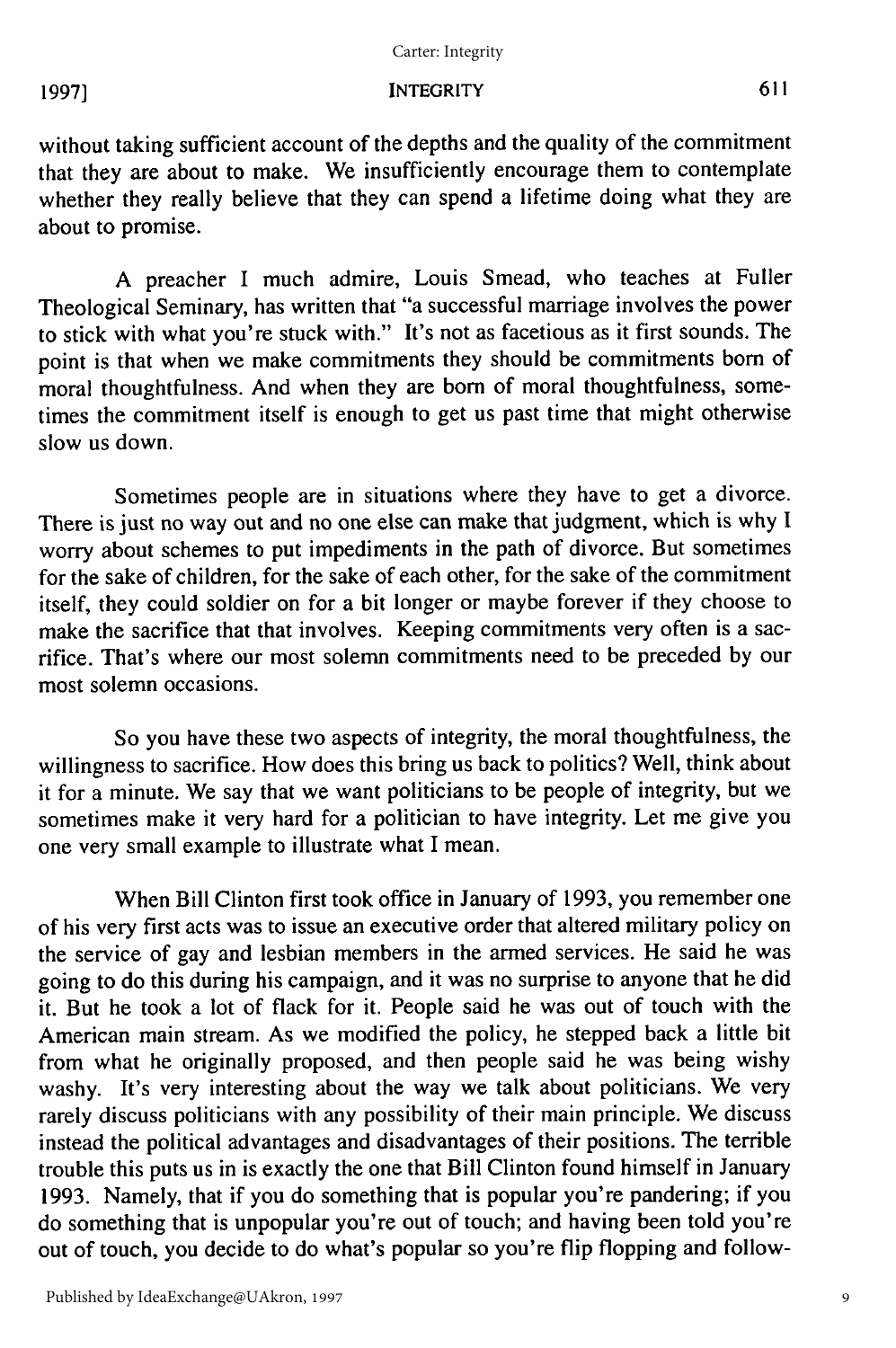#### Carter: Integrity

## INTEGRITY

without taking sufficient account of the depths and the quality of the commitment that they are about to make. We insufficiently encourage them to contemplate whether they really believe that they can spend a lifetime doing what they are about to promise.

A preacher I much admire, Louis Smead, who teaches at Fuller Theological Seminary, has written that "a successful marriage involves the power to stick with what you're stuck with." It's not as facetious as it first sounds. The point is that when we make commitments they should be commitments born of moral thoughtfulness. And when they are born of moral thoughtfulness, sometimes the commitment itself is enough to get us past time that might otherwise slow us down.

Sometimes people are in situations where they have to get a divorce. There is just no way out and no one else can make that judgment, which is why I worry about schemes to put impediments in the path of divorce. But sometimes for the sake of children, for the sake of each other, for the sake of the commitment itself, they could soldier on for a bit longer or maybe forever if they choose to make the sacrifice that that involves. Keeping commitments very often is a sacrifice. That's where our most solemn commitments need to be preceded by our most solemn occasions.

So you have these two aspects of integrity, the moral thoughtfulness, the willingness to sacrifice. How does this bring us back to politics? Well, think about it for a minute. We say that we want politicians to be people of integrity, but we sometimes make it very hard for a politician to have integrity. Let me give you one very small example to illustrate what I mean.

When Bill Clinton first took office in January of 1993, you remember one of his very first acts was to issue an executive order that altered military policy on the service of gay and lesbian members in the armed services. He said he was going to do this during his campaign, and it was no surprise to anyone that he did it. But he took a lot of flack for it. People said he was out of touch with the American main stream. As we modified the policy, he stepped back a little bit from what he originally proposed, and then people said he was being wishy washy. It's very interesting about the way we talk about politicians. We very rarely discuss politicians with any possibility of their main principle. We discuss instead the political advantages and disadvantages of their positions. The terrible trouble this puts us in is exactly the one that Bill Clinton found himself in January 1993. Namely, that if you do something that is popular you're pandering; if you do something that is unpopular you're out of touch; and having been told you're out of touch, you decide to do what's popular so you're flip flopping and follow-

**19971**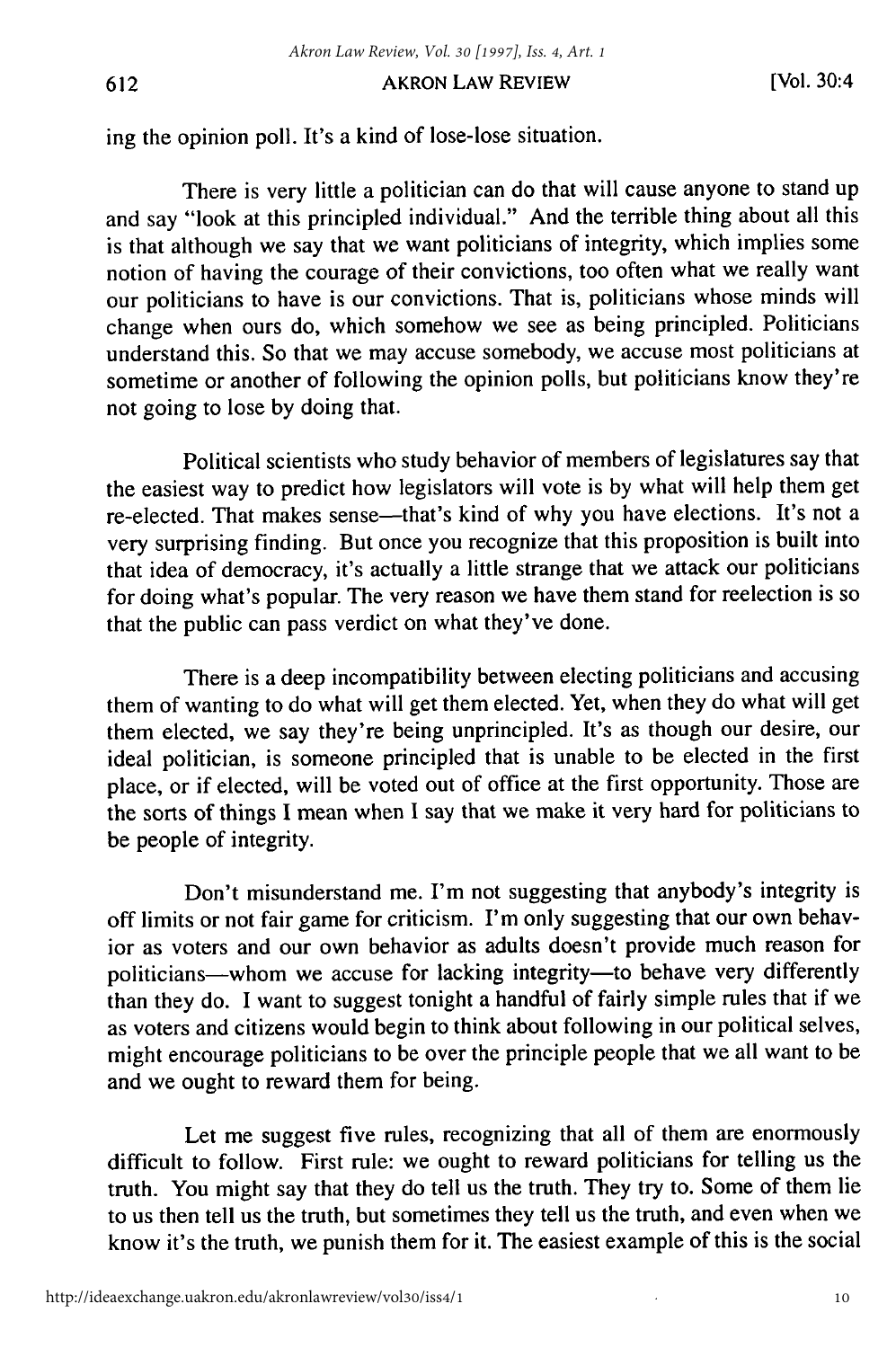#### AKRON LAW REVIEW

ing the opinion poll. It's a kind of lose-lose situation.

There is very little a politician can do that will cause anyone to stand up and say "look at this principled individual." And the terrible thing about all this is that although we say that we want politicians of integrity, which implies some notion of having the courage of their convictions, too often what we really want our politicians to have is our convictions. That is, politicians whose minds will change when ours do, which somehow we see as being principled. Politicians understand this. So that we may accuse somebody, we accuse most politicians at sometime or another of following the opinion polls, but politicians know they're not going to lose by doing that.

Political scientists who study behavior of members of legislatures say that the easiest way to predict how legislators will vote is by what will help them get re-elected. That makes sense—that's kind of why you have elections. It's not a very surprising finding. But once you recognize that this proposition is built into that idea of democracy, it's actually a little strange that we attack our politicians for doing what's popular. The very reason we have them stand for reelection is so that the public can pass verdict on what they've done.

There is a deep incompatibility between electing politicians and accusing them of wanting to do what will get them elected. Yet, when they do what will get them elected, we say they're being unprincipled. It's as though our desire, our ideal politician, is someone principled that is unable to be elected in the first place, or if elected, will be voted out of office at the first opportunity. Those are the sorts of things I mean when I say that we make it very hard for politicians to be people of integrity.

Don't misunderstand me. I'm not suggesting that anybody's integrity is off limits or not fair game for criticism. I'm only suggesting that our own behavior as voters and our own behavior as adults doesn't provide much reason for politicians-whom we accuse for lacking integrity-to behave very differently than they do. I want to suggest tonight a handful of fairly simple rules that if we as voters and citizens would begin to think about following in our political selves, might encourage politicians to be over the principle people that we all want to be and we ought to reward them for being.

Let me suggest five rules, recognizing that all of them are enormously difficult to follow. First rule: we ought to reward politicians for telling us the truth. You might say that they do tell us the truth. They try to. Some of them lie to us then tell us the truth, but sometimes they tell us the truth, and even when we know it's the truth, we punish them for it. The easiest example of this is the social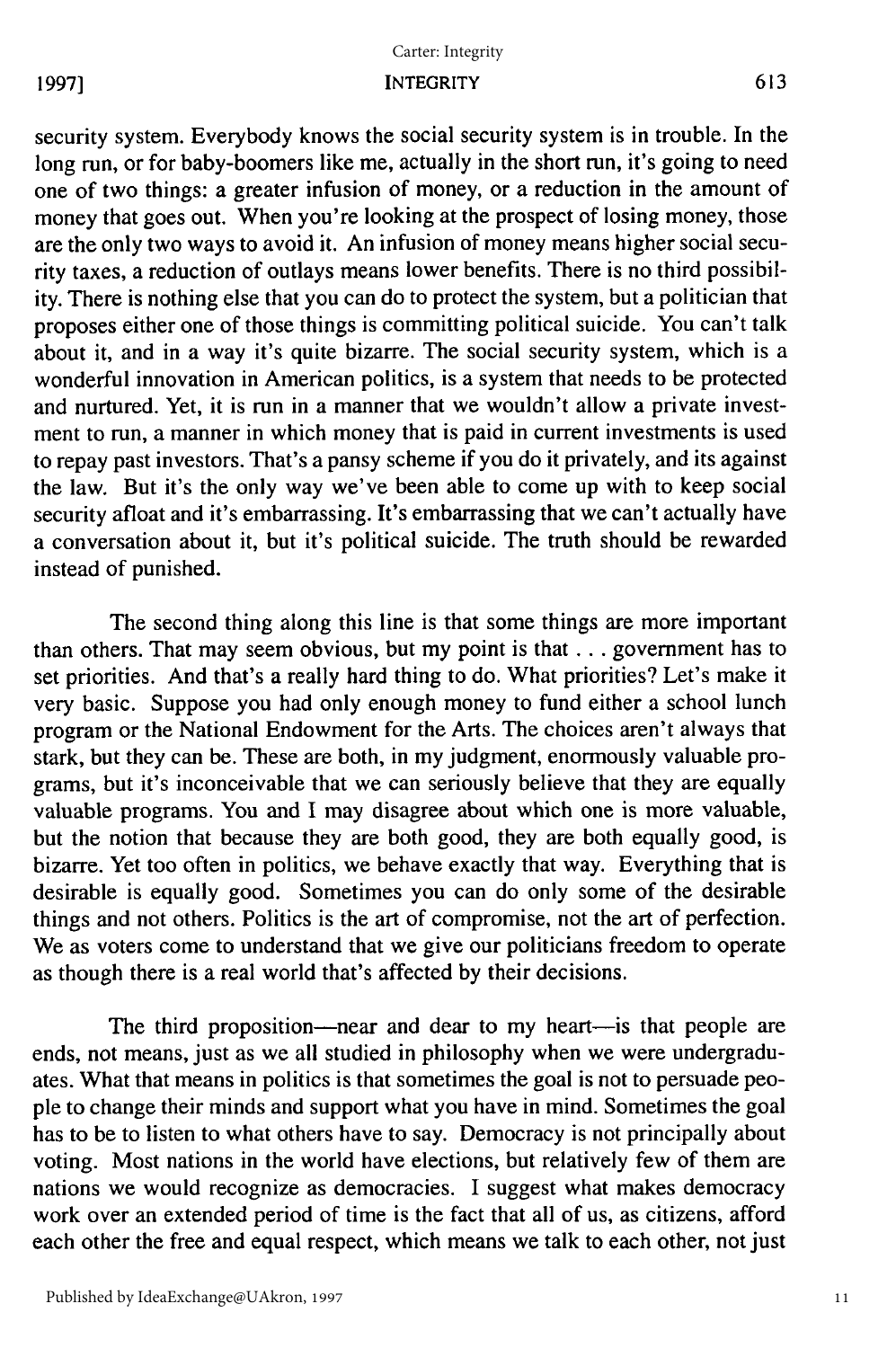# INTEGRITY Carter: Integrity

# **1997]**

security system. Everybody knows the social security system is in trouble. In the long run, or for baby-boomers like me, actually in the short run, it's going to need one of two things: a greater infusion of money, or a reduction in the amount of money that goes out. When you're looking at the prospect of losing money, those are the only two ways to avoid it. An infusion of money means higher social security taxes, a reduction of outlays means lower benefits. There is no third possibility. There is nothing else that you can do to protect the system, but a politician that proposes either one of those things is committing political suicide. You can't talk about it, and in a way it's quite bizarre. The social security system, which is a wonderful innovation in American politics, is a system that needs to be protected and nurtured. Yet, it is run in a manner that we wouldn't allow a private investment to run, a manner in which money that is paid in current investments is used to repay past investors. That's a pansy scheme if you do it privately, and its against the law. But it's the only way we've been able to come up with to keep social security afloat and it's embarrassing. It's embarrassing that we can't actually have a conversation about it, but it's political suicide. The truth should be rewarded instead of punished.

The second thing along this line is that some things are more important than others. That may seem obvious, but my point is that **...** government has to set priorities. And that's a really hard thing to do. What priorities? Let's make it very basic. Suppose you had only enough money to fund either a school lunch program or the National Endowment for the Arts. The choices aren't always that stark, but they can be. These are both, in my judgment, enormously valuable programs, but it's inconceivable that we can seriously believe that they are equally valuable programs. You and I may disagree about which one is more valuable, but the notion that because they are both good, they are both equally good, is bizarre. Yet too often in politics, we behave exactly that way. Everything that is desirable is equally good. Sometimes you can do only some of the desirable things and not others. Politics is the art of compromise, not the art of perfection. We as voters come to understand that we give our politicians freedom to operate as though there is a real world that's affected by their decisions.

The third proposition-near and dear to my heart-is that people are ends, not means, just as we all studied in philosophy when we were undergraduates. What that means in politics is that sometimes the goal is not to persuade people to change their minds and support what you have in mind. Sometimes the goal has to be to listen to what others have to say. Democracy is not principally about voting. Most nations in the world have elections, but relatively few of them are nations we would recognize as democracies. I suggest what makes democracy work over an extended period of time is the fact that all of us, as citizens, afford each other the free and equal respect, which means we talk to each other, not just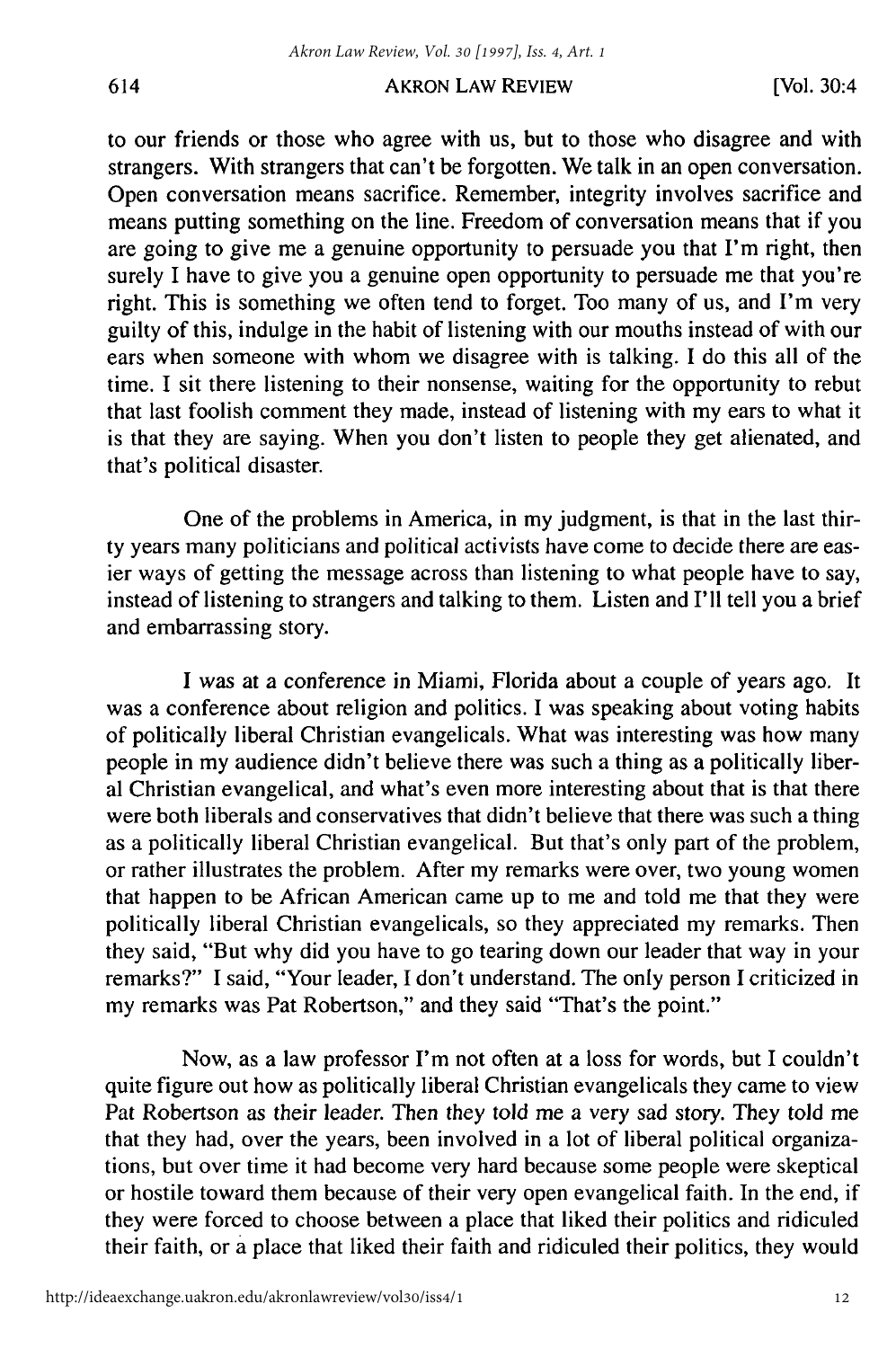#### AKRON LAW REVIEW

to our friends or those who agree with us, but to those who disagree and with strangers. With strangers that can't be forgotten. We talk in an open conversation. Open conversation means sacrifice. Remember, integrity involves sacrifice and means putting something on the line. Freedom of conversation means that if you are going to give me a genuine opportunity to persuade you that I'm right, then surely I have to give you a genuine open opportunity to persuade me that you're right. This is something we often tend to forget. Too many of us, and I'm very guilty of this, indulge in the habit of listening with our mouths instead of with our ears when someone with whom we disagree with is talking. I do this all of the time. I sit there listening to their nonsense, waiting for the opportunity to rebut that last foolish comment they made, instead of listening with my ears to what it is that they are saying. When you don't listen to people they get alienated, and that's political disaster.

One of the problems in America, in my judgment, is that in the last thirty years many politicians and political activists have come to decide there are easier ways of getting the message across than listening to what people have to say, instead of listening to strangers and talking to them. Listen and I'll tell you a brief and embarrassing story.

I was at a conference in Miami, Florida about a couple of years ago. It was a conference about religion and politics. I was speaking about voting habits of politically liberal Christian evangelicals. What was interesting was how many people in my audience didn't believe there was such a thing as a politically liberal Christian evangelical, and what's even more interesting about that is that there were both liberals and conservatives that didn't believe that there was such a thing as a politically liberal Christian evangelical. But that's only part of the problem, or rather illustrates the problem. After my remarks were over, two young women that happen to be African American came up to me and told me that they were politically liberal Christian evangelicals, so they appreciated my remarks. Then they said, "But why did you have to go tearing down our leader that way in your remarks?" I said, "Your leader, I don't understand. The only person I criticized in my remarks was Pat Robertson," and they said "That's the point."

Now, as a law professor I'm not often at a loss for words, but I couldn't quite figure out how as politically liberal Christian evangelicals they came to view Pat Robertson as their leader. Then they told me a very sad story. They told me that they had, over the years, been involved in a lot of liberal political organizations, but over time it had become very hard because some people were skeptical or hostile toward them because of their very open evangelical faith. In the end, if they were forced to choose between a place that liked their politics and ridiculed their faith, or a place that liked their faith and ridiculed their politics, they would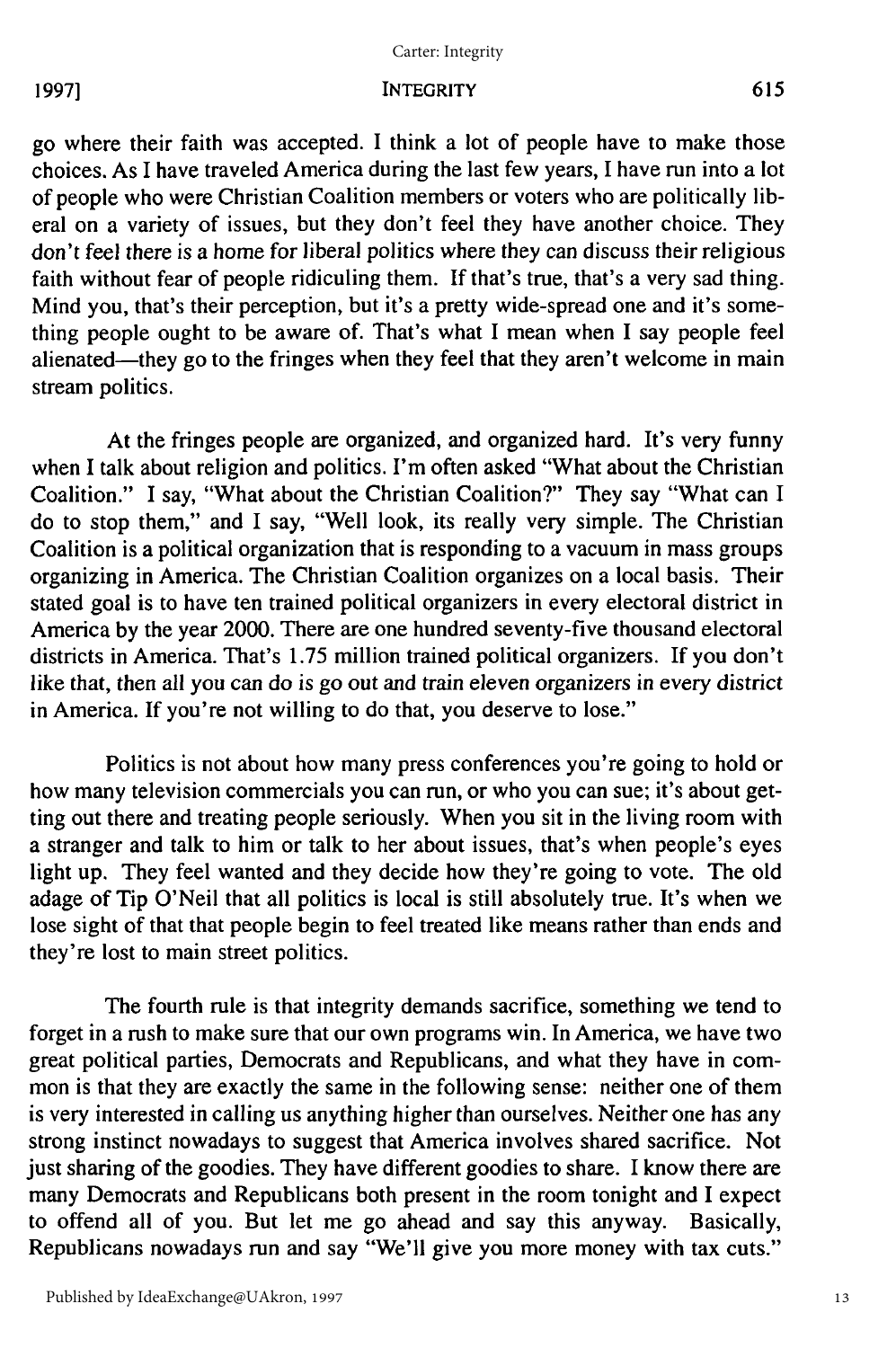#### Carter: Integrity

# **19973**

#### INTEGRITY

go where their faith was accepted. I think a lot of people have to make those choices. As I have traveled America during the last few years, I have run into a lot of people who were Christian Coalition members or voters who are politically liberal on a variety of issues, but they don't feel they have another choice. They don't feel there is a home for liberal politics where they can discuss their religious faith without fear of people ridiculing them. If that's true, that's a very sad thing. Mind you, that's their perception, but it's a pretty wide-spread one and it's something people ought to be aware of. That's what I mean when I say people feel alienated—they go to the fringes when they feel that they aren't welcome in main stream politics.

At the fringes people are organized, and organized hard. It's very funny when I talk about religion and politics. I'm often asked "What about the Christian Coalition." I say, "What about the Christian Coalition?" They say "What can I do to stop them," and I say, "Well look, its really very simple. The Christian Coalition is a political organization that is responding to a vacuum in mass groups organizing in America. The Christian Coalition organizes on a local basis. Their stated goal is to have ten trained political organizers in every electoral district in America by the year 2000. There are one hundred seventy-five thousand electoral districts in America. That's 1.75 million trained political organizers. If you don't like that, then all you can do is go out and train eleven organizers in every district in America. If you're not willing to do that, you deserve to lose."

Politics is not about how many press conferences you're going to hold or how many television commercials you can run, or who you can sue; it's about getting out there and treating people seriously. When you sit in the living room with a stranger and talk to him or talk to her about issues, that's when people's eyes light up. They feel wanted and they decide how they're going to vote. The old adage of Tip O'Neil that all politics is local is still absolutely true. It's when we lose sight of that that people begin to feel treated like means rather than ends and they're lost to main street politics.

The fourth rule is that integrity demands sacrifice, something we tend to forget in a rush to make sure that our own programs win. In America, we have two great political parties, Democrats and Republicans, and what they have in common is that they are exactly the same in the following sense: neither one of them is very interested in calling us anything higher than ourselves. Neither one has any strong instinct nowadays to suggest that America involves shared sacrifice. Not just sharing of the goodies. They have different goodies to share. I know there are many Democrats and Republicans both present in the room tonight and I expect to offend all of you. But let me go ahead and say this anyway. Basically, Republicans nowadays run and say "We'll give you more money with tax cuts."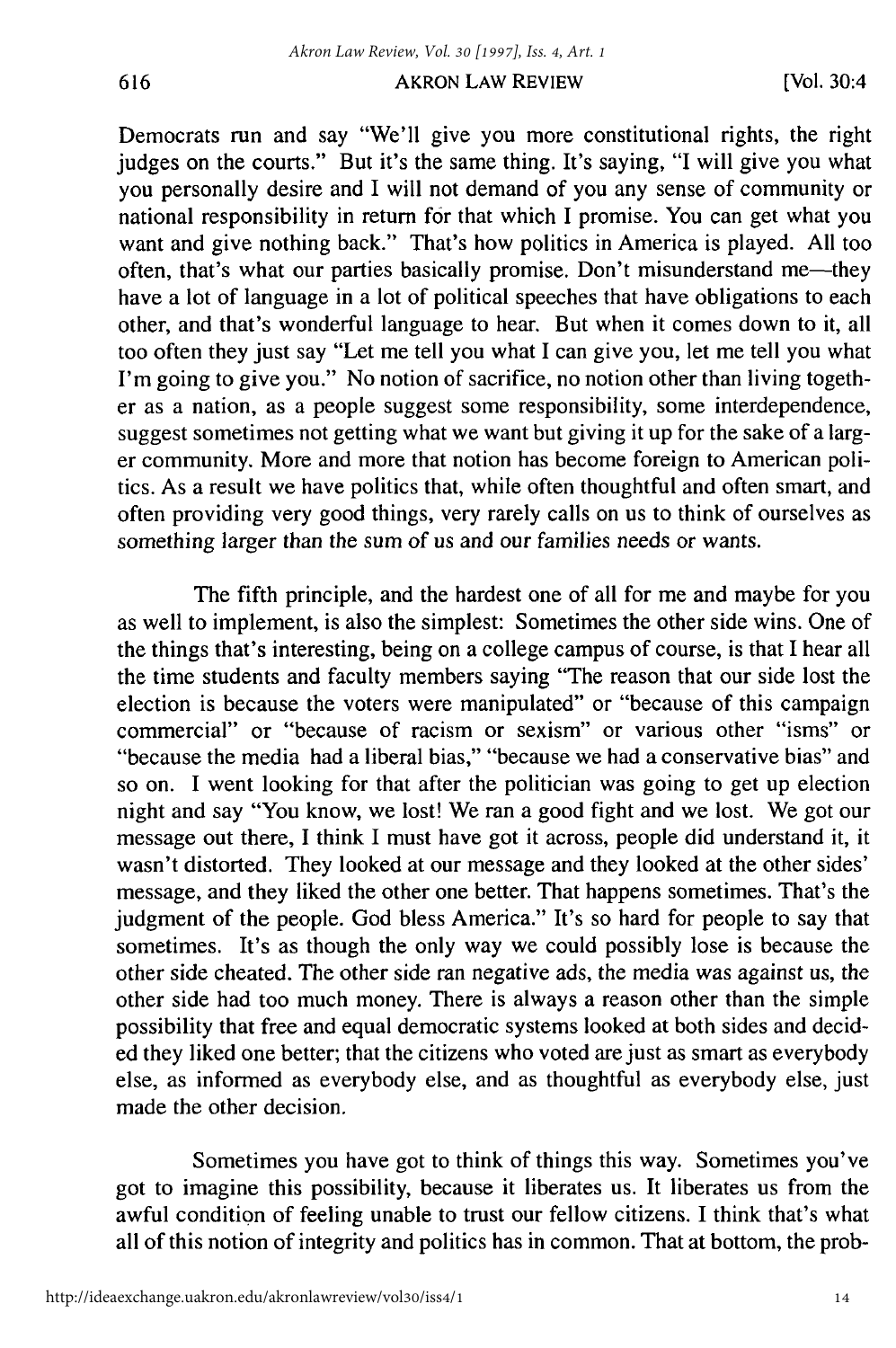## AKRON LAW REVIEW

Democrats run and say "We'll give you more constitutional rights, the fight judges on the courts." But it's the same thing. It's saying, "I will give you what you personally desire and I will not demand of you any sense of community or national responsibility in return for that which I promise. You can get what you want and give nothing back." That's how politics in America is played. All too often, that's what our parties basically promise. Don't misunderstand me-they have a lot of language in a lot of political speeches that have obligations to each other, and that's wonderful language to hear. But when it comes down to it, all too often they just say "Let me tell you what I can give you, let me tell you what I'm going to give you." No notion of sacrifice, no notion other than living together as a nation, as a people suggest some responsibility, some interdependence, suggest sometimes not getting what we want but giving it up for the sake of a larger community. More and more that notion has become foreign to American politics. As a result we have politics that, while often thoughtful and often smart, and often providing very good things, very rarely calls on us to think of ourselves as something larger than the sum of us and our families needs or wants.

The fifth principle, and the hardest one of all for me and maybe for you as well to implement, is also the simplest: Sometimes the other side wins. One of the things that's interesting, being on a college campus of course, is that I hear all the time students and faculty members saying "The reason that our side lost the election is because the voters were manipulated" or "because of this campaign commercial" or "because of racism or sexism" or various other "isms" or "because the media had a liberal bias," "because we had a conservative bias" and so on. I went looking for that after the politician was going to get up election night and say "You know, we lost! We ran a good fight and we lost. We got our message out there, I think I must have got it across, people did understand it, it wasn't distorted. They looked at our message and they looked at the other sides' message, and they liked the other one better. That happens sometimes. That's the judgment of the people. God bless America." It's so hard for people to say that sometimes. It's as though the only way we could possibly lose is because the other side cheated. The other side ran negative ads, the media was against us, the other side had too much money. There is always a reason other than the simple possibility that free and equal democratic systems looked at both sides and decided they liked one better; that the citizens who voted are just as smart as everybody else, as informed as everybody else, and as thoughtful as everybody else, just made the other decision.

Sometimes you have got to think of things this way. Sometimes you've got to imagine this possibility, because it liberates us. It liberates us from the awful condition of feeling unable to trust our fellow citizens. I think that's what all of this notion of integrity and politics has in common. That at bottom, the prob-